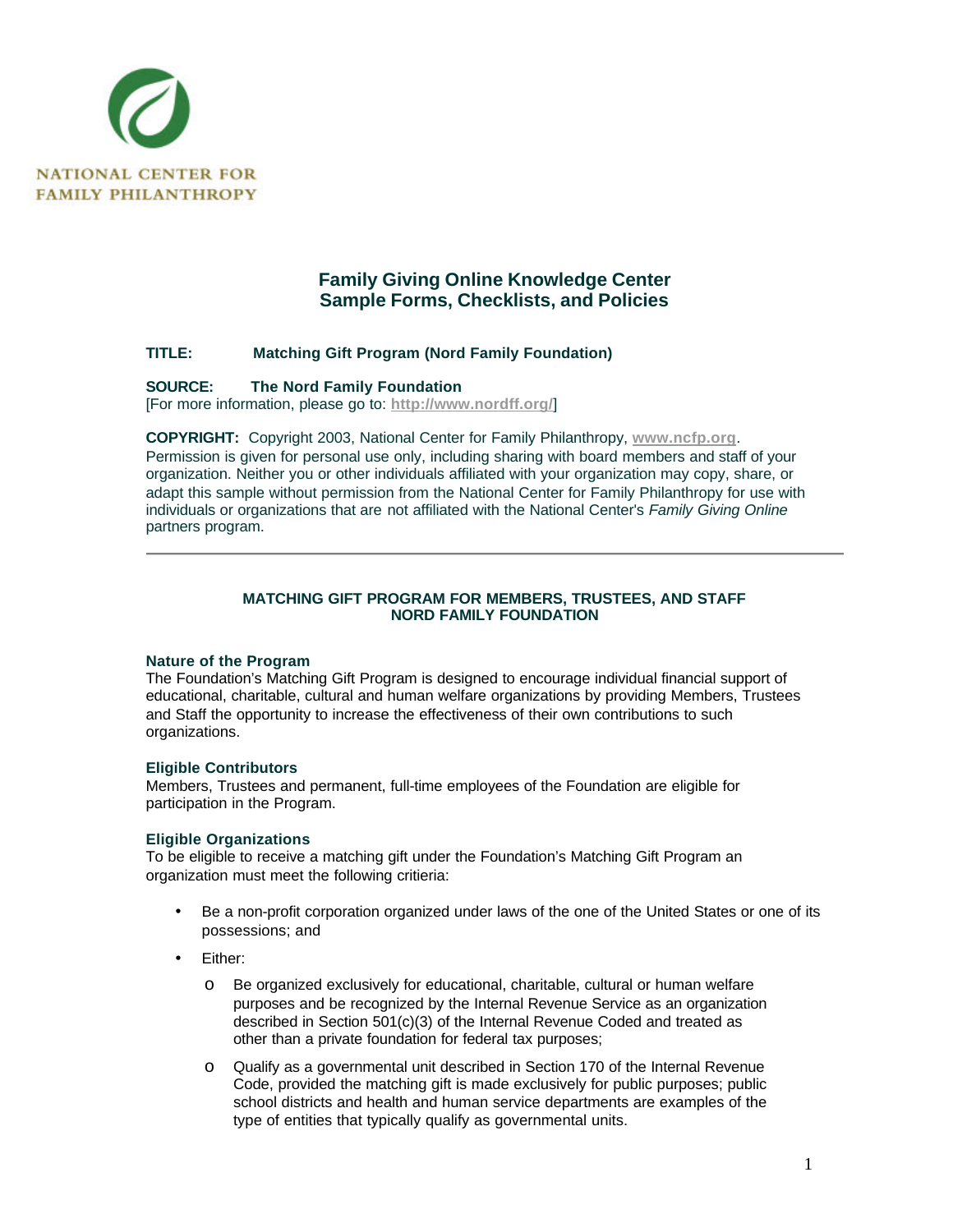

# **Family Giving Online Knowledge Center Sample Forms, Checklists, and Policies**

# **TITLE: Matching Gift Program (Nord Family Foundation)**

#### **SOURCE: The Nord Family Foundation**

[For more information, please go to: **http://www.nordff.org/**]

**COPYRIGHT:** Copyright 2003, National Center for Family Philanthropy, **www.ncfp.org**. Permission is given for personal use only, including sharing with board members and staff of your organization. Neither you or other individuals affiliated with your organization may copy, share, or adapt this sample without permission from the National Center for Family Philanthropy for use with individuals or organizations that are not affiliated with the National Center's *Family Giving Online* partners program.

# **MATCHING GIFT PROGRAM FOR MEMBERS, TRUSTEES, AND STAFF NORD FAMILY FOUNDATION**

# **Nature of the Program**

The Foundation's Matching Gift Program is designed to encourage individual financial support of educational, charitable, cultural and human welfare organizations by providing Members, Trustees and Staff the opportunity to increase the effectiveness of their own contributions to such organizations.

#### **Eligible Contributors**

Members, Trustees and permanent, full-time employees of the Foundation are eligible for participation in the Program.

# **Eligible Organizations**

To be eligible to receive a matching gift under the Foundation's Matching Gift Program an organization must meet the following critieria:

- Be a non-profit corporation organized under laws of the one of the United States or one of its possessions; and
- Either:
	- o Be organized exclusively for educational, charitable, cultural or human welfare purposes and be recognized by the Internal Revenue Service as an organization described in Section 501(c)(3) of the Internal Revenue Coded and treated as other than a private foundation for federal tax purposes;
	- o Qualify as a governmental unit described in Section 170 of the Internal Revenue Code, provided the matching gift is made exclusively for public purposes; public school districts and health and human service departments are examples of the type of entities that typically qualify as governmental units.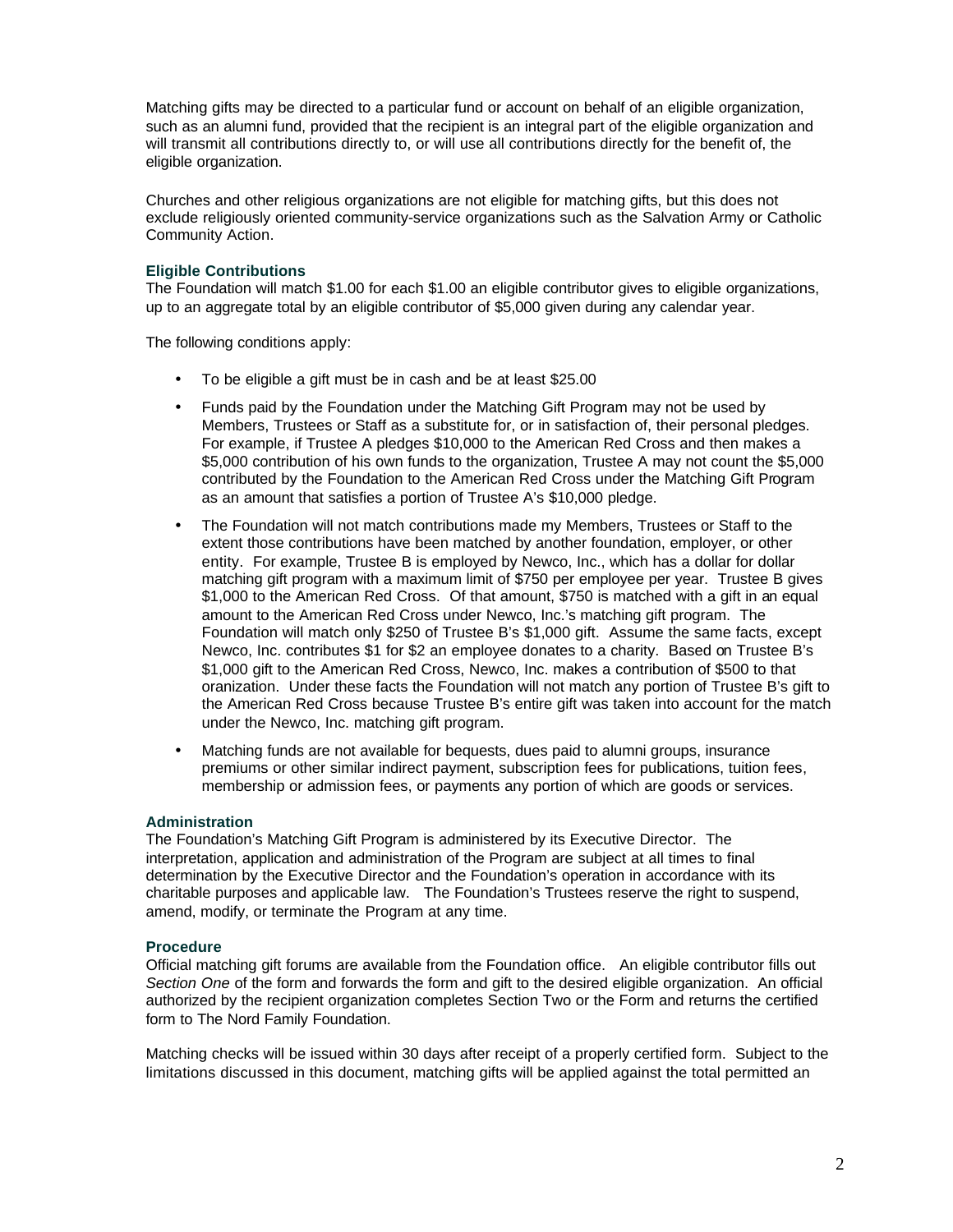Matching gifts may be directed to a particular fund or account on behalf of an eligible organization, such as an alumni fund, provided that the recipient is an integral part of the eligible organization and will transmit all contributions directly to, or will use all contributions directly for the benefit of, the eligible organization.

Churches and other religious organizations are not eligible for matching gifts, but this does not exclude religiously oriented community-service organizations such as the Salvation Army or Catholic Community Action.

# **Eligible Contributions**

The Foundation will match \$1.00 for each \$1.00 an eligible contributor gives to eligible organizations, up to an aggregate total by an eligible contributor of \$5,000 given during any calendar year.

The following conditions apply:

- To be eligible a gift must be in cash and be at least \$25.00
- Funds paid by the Foundation under the Matching Gift Program may not be used by Members, Trustees or Staff as a substitute for, or in satisfaction of, their personal pledges. For example, if Trustee A pledges \$10,000 to the American Red Cross and then makes a \$5,000 contribution of his own funds to the organization, Trustee A may not count the \$5,000 contributed by the Foundation to the American Red Cross under the Matching Gift Program as an amount that satisfies a portion of Trustee A's \$10,000 pledge.
- The Foundation will not match contributions made my Members, Trustees or Staff to the extent those contributions have been matched by another foundation, employer, or other entity. For example, Trustee B is employed by Newco, Inc., which has a dollar for dollar matching gift program with a maximum limit of \$750 per employee per year. Trustee B gives \$1,000 to the American Red Cross. Of that amount, \$750 is matched with a gift in an equal amount to the American Red Cross under Newco, Inc.'s matching gift program. The Foundation will match only \$250 of Trustee B's \$1,000 gift. Assume the same facts, except Newco, Inc. contributes \$1 for \$2 an employee donates to a charity. Based on Trustee B's \$1,000 gift to the American Red Cross, Newco, Inc. makes a contribution of \$500 to that oranization. Under these facts the Foundation will not match any portion of Trustee B's gift to the American Red Cross because Trustee B's entire gift was taken into account for the match under the Newco, Inc. matching gift program.
- Matching funds are not available for bequests, dues paid to alumni groups, insurance premiums or other similar indirect payment, subscription fees for publications, tuition fees, membership or admission fees, or payments any portion of which are goods or services.

#### **Administration**

The Foundation's Matching Gift Program is administered by its Executive Director. The interpretation, application and administration of the Program are subject at all times to final determination by the Executive Director and the Foundation's operation in accordance with its charitable purposes and applicable law. The Foundation's Trustees reserve the right to suspend, amend, modify, or terminate the Program at any time.

# **Procedure**

Official matching gift forums are available from the Foundation office. An eligible contributor fills out *Section One* of the form and forwards the form and gift to the desired eligible organization. An official authorized by the recipient organization completes Section Two or the Form and returns the certified form to The Nord Family Foundation.

Matching checks will be issued within 30 days after receipt of a properly certified form. Subject to the limitations discussed in this document, matching gifts will be applied against the total permitted an